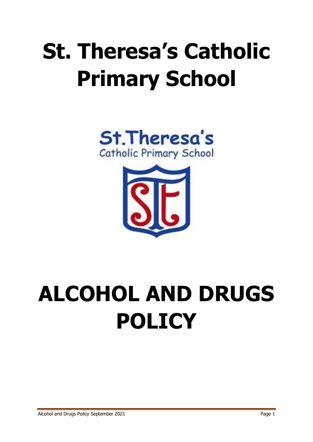## **St. Theresa's Catholic Primary School**





# **ALCOHOL AND DRUGS POLICY**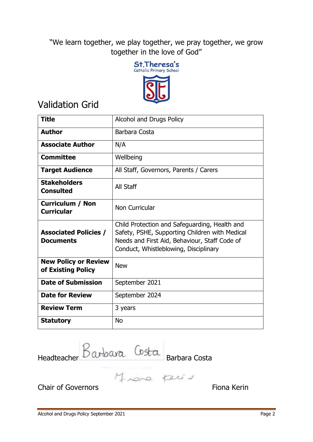"We learn together, we play together, we pray together, we grow together in the love of God"



## Validation Grid

| <b>Title</b>                                      | Alcohol and Drugs Policy                                                                                                                                                                  |  |
|---------------------------------------------------|-------------------------------------------------------------------------------------------------------------------------------------------------------------------------------------------|--|
| <b>Author</b>                                     | Barbara Costa                                                                                                                                                                             |  |
| <b>Associate Author</b>                           | N/A                                                                                                                                                                                       |  |
| <b>Committee</b>                                  | Wellbeing                                                                                                                                                                                 |  |
| <b>Target Audience</b>                            | All Staff, Governors, Parents / Carers                                                                                                                                                    |  |
| <b>Stakeholders</b><br><b>Consulted</b>           | All Staff                                                                                                                                                                                 |  |
| <b>Curriculum / Non</b><br><b>Curricular</b>      | Non Curricular                                                                                                                                                                            |  |
| <b>Associated Policies /</b><br><b>Documents</b>  | Child Protection and Safeguarding, Health and<br>Safety, PSHE, Supporting Children with Medical<br>Needs and First Aid, Behaviour, Staff Code of<br>Conduct, Whistleblowing, Disciplinary |  |
| <b>New Policy or Review</b><br>of Existing Policy | <b>New</b>                                                                                                                                                                                |  |
| <b>Date of Submission</b>                         | September 2021                                                                                                                                                                            |  |
| <b>Date for Review</b>                            | September 2024                                                                                                                                                                            |  |
| <b>Review Term</b>                                | 3 years                                                                                                                                                                                   |  |
| <b>Statutory</b>                                  | <b>No</b>                                                                                                                                                                                 |  |

Headteacher DWDWR Barbara Costa

Chair of Governors **Fiona** Kering Chair of Governors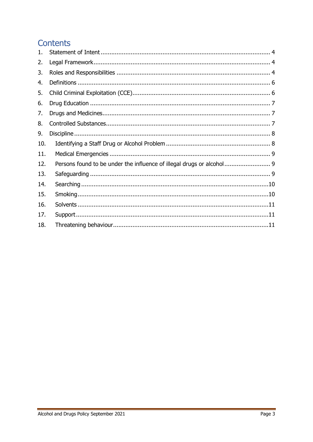### **Contents**

| 1.  |                                                                       |  |
|-----|-----------------------------------------------------------------------|--|
| 2.  |                                                                       |  |
| 3.  |                                                                       |  |
| 4.  |                                                                       |  |
| 5.  |                                                                       |  |
| 6.  |                                                                       |  |
| 7.  |                                                                       |  |
| 8.  |                                                                       |  |
| 9.  |                                                                       |  |
| 10. |                                                                       |  |
| 11. |                                                                       |  |
| 12. | Persons found to be under the influence of illegal drugs or alcohol 9 |  |
| 13. |                                                                       |  |
| 14. |                                                                       |  |
| 15. |                                                                       |  |
| 16. |                                                                       |  |
| 17. |                                                                       |  |
| 18. |                                                                       |  |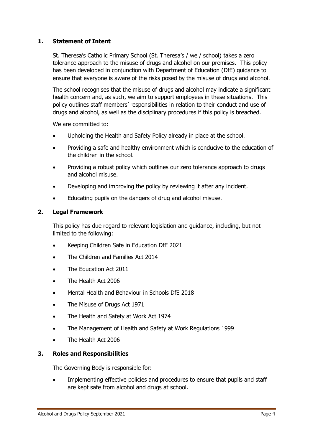#### <span id="page-3-0"></span>**1. Statement of Intent**

St. Theresa's Catholic Primary School (St. Theresa's / we / school) takes a zero tolerance approach to the misuse of drugs and alcohol on our premises. This policy has been developed in conjunction with Department of Education (DfE) guidance to ensure that everyone is aware of the risks posed by the misuse of drugs and alcohol.

The school recognises that the misuse of drugs and alcohol may indicate a significant health concern and, as such, we aim to support employees in these situations. This policy outlines staff members' responsibilities in relation to their conduct and use of drugs and alcohol, as well as the disciplinary procedures if this policy is breached.

We are committed to:

- Upholding the Health and Safety Policy already in place at the school.
- Providing a safe and healthy environment which is conducive to the education of the children in the school.
- Providing a robust policy which outlines our zero tolerance approach to drugs and alcohol misuse.
- Developing and improving the policy by reviewing it after any incident.
- Educating pupils on the dangers of drug and alcohol misuse.

#### <span id="page-3-1"></span>**2. Legal Framework**

This policy has due regard to relevant legislation and guidance, including, but not limited to the following:

- Keeping Children Safe in Education DfE 2021
- The Children and Families Act 2014
- The Education Act 2011
- The Health Act 2006
- Mental Health and Behaviour in Schools DfE 2018
- The Misuse of Drugs Act 1971
- The Health and Safety at Work Act 1974
- The Management of Health and Safety at Work Regulations 1999
- The Health Act 2006

#### <span id="page-3-2"></span>**3. Roles and Responsibilities**

The Governing Body is responsible for:

 Implementing effective policies and procedures to ensure that pupils and staff are kept safe from alcohol and drugs at school.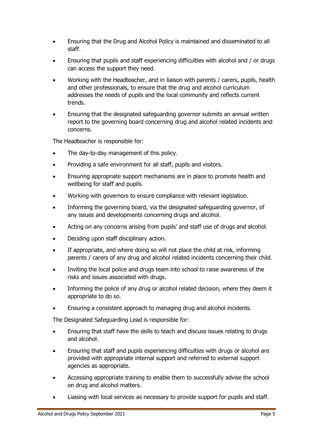- Ensuring that the Drug and Alcohol Policy is maintained and disseminated to all staff.
- Ensuring that pupils and staff experiencing difficulties with alcohol and / or drugs can access the support they need.
- Working with the Headteacher, and in liaison with parents / carers, pupils, health and other professionals, to ensure that the drug and alcohol curriculum addresses the needs of pupils and the local community and reflects current trends.
- Ensuring that the designated safeguarding governor submits an annual written report to the governing board concerning drug and alcohol related incidents and concerns.

The Headteacher is responsible for:

- The day-to-day management of this policy.
- Providing a safe environment for all staff, pupils and visitors.
- Ensuring appropriate support mechanisms are in place to promote health and wellbeing for staff and pupils.
- Working with governors to ensure compliance with relevant legislation.
- Informing the governing board, via the designated safeguarding governor, of any issues and developments concerning drugs and alcohol.
- Acting on any concerns arising from pupils' and staff use of drugs and alcohol.
- Deciding upon staff disciplinary action.
- If appropriate, and where doing so will not place the child at risk, informing parents / carers of any drug and alcohol related incidents concerning their child.
- Inviting the local police and drugs team into school to raise awareness of the risks and issues associated with drugs.
- Informing the police of any drug or alcohol related decision, where they deem it appropriate to do so.
- Ensuring a consistent approach to managing drug and alcohol incidents.

The Designated Safeguarding Lead is responsible for:

- Ensuring that staff have the skills to teach and discuss issues relating to drugs and alcohol.
- Ensuring that staff and pupils experiencing difficulties with drugs or alcohol are provided with appropriate internal support and referred to external support agencies as appropriate.
- Accessing appropriate training to enable them to successfully advise the school on drug and alcohol matters.
- Liaising with local services as necessary to provide support for pupils and staff.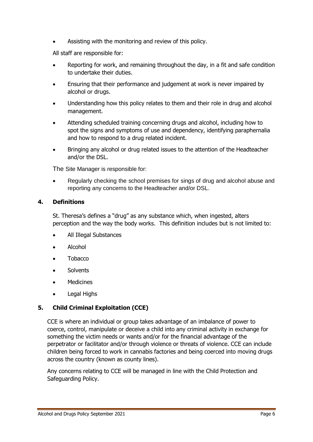Assisting with the monitoring and review of this policy.

All staff are responsible for:

- Reporting for work, and remaining throughout the day, in a fit and safe condition to undertake their duties.
- Ensuring that their performance and judgement at work is never impaired by alcohol or drugs.
- Understanding how this policy relates to them and their role in drug and alcohol management.
- Attending scheduled training concerning drugs and alcohol, including how to spot the signs and symptoms of use and dependency, identifying paraphernalia and how to respond to a drug related incident.
- Bringing any alcohol or drug related issues to the attention of the Headteacher and/or the DSL.

The Site Manager is responsible for:

 Regularly checking the school premises for sings of drug and alcohol abuse and reporting any concerns to the Headteacher and/or DSL.

#### <span id="page-5-0"></span>**4. Definitions**

St. Theresa's defines a "drug" as any substance which, when ingested, alters perception and the way the body works. This definition includes but is not limited to:

- All Illegal Substances
- Alcohol
- Tobacco
- **Solvents**
- Medicines
- Legal Highs

#### <span id="page-5-1"></span>**5. Child Criminal Exploitation (CCE)**

CCE is where an individual or group takes advantage of an imbalance of power to coerce, control, manipulate or deceive a child into any criminal activity in exchange for something the victim needs or wants and/or for the financial advantage of the perpetrator or facilitator and/or through violence or threats of violence. CCE can include children being forced to work in cannabis factories and being coerced into moving drugs across the country (known as county lines).

Any concerns relating to CCE will be managed in line with the Child Protection and Safeguarding Policy.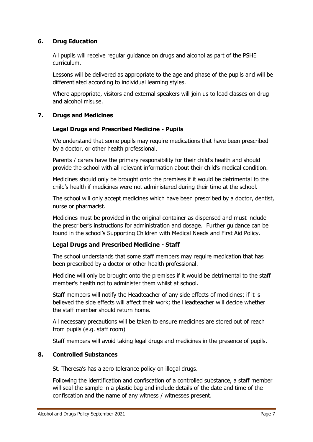#### <span id="page-6-0"></span>**6. Drug Education**

All pupils will receive regular guidance on drugs and alcohol as part of the PSHE curriculum.

Lessons will be delivered as appropriate to the age and phase of the pupils and will be differentiated according to individual learning styles.

Where appropriate, visitors and external speakers will join us to lead classes on drug and alcohol misuse.

#### <span id="page-6-1"></span>**7. Drugs and Medicines**

#### **Legal Drugs and Prescribed Medicine - Pupils**

We understand that some pupils may require medications that have been prescribed by a doctor, or other health professional.

Parents / carers have the primary responsibility for their child's health and should provide the school with all relevant information about their child's medical condition.

Medicines should only be brought onto the premises if it would be detrimental to the child's health if medicines were not administered during their time at the school.

The school will only accept medicines which have been prescribed by a doctor, dentist, nurse or pharmacist.

Medicines must be provided in the original container as dispensed and must include the prescriber's instructions for administration and dosage. Further guidance can be found in the school's Supporting Children with Medical Needs and First Aid Policy.

#### **Legal Drugs and Prescribed Medicine - Staff**

The school understands that some staff members may require medication that has been prescribed by a doctor or other health professional.

Medicine will only be brought onto the premises if it would be detrimental to the staff member's health not to administer them whilst at school.

Staff members will notify the Headteacher of any side effects of medicines; if it is believed the side effects will affect their work; the Headteacher will decide whether the staff member should return home.

All necessary precautions will be taken to ensure medicines are stored out of reach from pupils (e.g. staff room)

Staff members will avoid taking legal drugs and medicines in the presence of pupils.

#### <span id="page-6-2"></span>**8. Controlled Substances**

St. Theresa's has a zero tolerance policy on illegal drugs.

Following the identification and confiscation of a controlled substance, a staff member will seal the sample in a plastic bag and include details of the date and time of the confiscation and the name of any witness / witnesses present.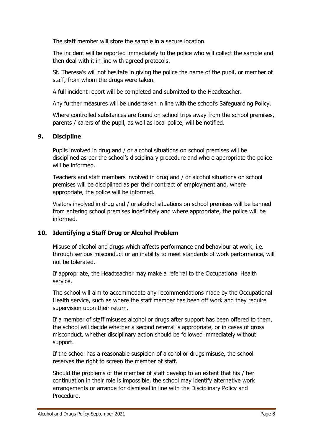The staff member will store the sample in a secure location.

The incident will be reported immediately to the police who will collect the sample and then deal with it in line with agreed protocols.

St. Theresa's will not hesitate in giving the police the name of the pupil, or member of staff, from whom the drugs were taken.

A full incident report will be completed and submitted to the Headteacher.

Any further measures will be undertaken in line with the school's Safeguarding Policy.

Where controlled substances are found on school trips away from the school premises, parents / carers of the pupil, as well as local police, will be notified.

#### <span id="page-7-0"></span>**9. Discipline**

Pupils involved in drug and / or alcohol situations on school premises will be disciplined as per the school's disciplinary procedure and where appropriate the police will be informed.

Teachers and staff members involved in drug and / or alcohol situations on school premises will be disciplined as per their contract of employment and, where appropriate, the police will be informed.

Visitors involved in drug and / or alcohol situations on school premises will be banned from entering school premises indefinitely and where appropriate, the police will be informed.

#### <span id="page-7-1"></span>**10. Identifying a Staff Drug or Alcohol Problem**

Misuse of alcohol and drugs which affects performance and behaviour at work, i.e. through serious misconduct or an inability to meet standards of work performance, will not be tolerated.

If appropriate, the Headteacher may make a referral to the Occupational Health service.

The school will aim to accommodate any recommendations made by the Occupational Health service, such as where the staff member has been off work and they require supervision upon their return.

If a member of staff misuses alcohol or drugs after support has been offered to them, the school will decide whether a second referral is appropriate, or in cases of gross misconduct, whether disciplinary action should be followed immediately without support.

If the school has a reasonable suspicion of alcohol or drugs misuse, the school reserves the right to screen the member of staff.

Should the problems of the member of staff develop to an extent that his / her continuation in their role is impossible, the school may identify alternative work arrangements or arrange for dismissal in line with the Disciplinary Policy and Procedure.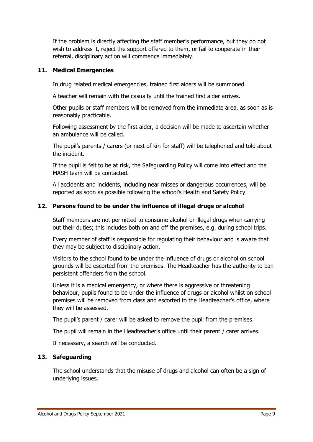If the problem is directly affecting the staff member's performance, but they do not wish to address it, reject the support offered to them, or fail to cooperate in their referral, disciplinary action will commence immediately.

#### <span id="page-8-0"></span>**11. Medical Emergencies**

In drug related medical emergencies, trained first aiders will be summoned.

A teacher will remain with the casualty until the trained first aider arrives.

Other pupils or staff members will be removed from the immediate area, as soon as is reasonably practicable.

Following assessment by the first aider, a decision will be made to ascertain whether an ambulance will be called.

The pupil's parents / carers (or next of kin for staff) will be telephoned and told about the incident.

If the pupil is felt to be at risk, the Safeguarding Policy will come into effect and the MASH team will be contacted.

All accidents and incidents, including near misses or dangerous occurrences, will be reported as soon as possible following the school's Health and Safety Policy.

#### <span id="page-8-1"></span>**12. Persons found to be under the influence of illegal drugs or alcohol**

Staff members are not permitted to consume alcohol or illegal drugs when carrying out their duties; this includes both on and off the premises, e.g. during school trips.

Every member of staff is responsible for regulating their behaviour and is aware that they may be subject to disciplinary action.

Visitors to the school found to be under the influence of drugs or alcohol on school grounds will be escorted from the premises. The Headteacher has the authority to ban persistent offenders from the school.

Unless it is a medical emergency, or where there is aggressive or threatening behaviour, pupils found to be under the influence of drugs or alcohol whilst on school premises will be removed from class and escorted to the Headteacher's office, where they will be assessed.

The pupil's parent / carer will be asked to remove the pupil from the premises.

The pupil will remain in the Headteacher's office until their parent / carer arrives.

If necessary, a search will be conducted.

#### <span id="page-8-2"></span>**13. Safeguarding**

The school understands that the misuse of drugs and alcohol can often be a sign of underlying issues.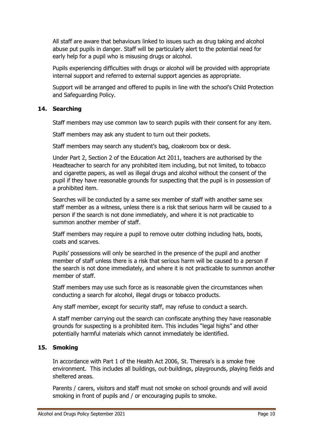All staff are aware that behaviours linked to issues such as drug taking and alcohol abuse put pupils in danger. Staff will be particularly alert to the potential need for early help for a pupil who is misusing drugs or alcohol.

Pupils experiencing difficulties with drugs or alcohol will be provided with appropriate internal support and referred to external support agencies as appropriate.

Support will be arranged and offered to pupils in line with the school's Child Protection and Safeguarding Policy.

#### <span id="page-9-0"></span>**14. Searching**

Staff members may use common law to search pupils with their consent for any item.

Staff members may ask any student to turn out their pockets.

Staff members may search any student's bag, cloakroom box or desk.

Under Part 2, Section 2 of the Education Act 2011, teachers are authorised by the Headteacher to search for any prohibited item including, but not limited, to tobacco and cigarette papers, as well as illegal drugs and alcohol without the consent of the pupil if they have reasonable grounds for suspecting that the pupil is in possession of a prohibited item.

Searches will be conducted by a same sex member of staff with another same sex staff member as a witness, unless there is a risk that serious harm will be caused to a person if the search is not done immediately, and where it is not practicable to summon another member of staff.

Staff members may require a pupil to remove outer clothing including hats, boots, coats and scarves.

Pupils' possessions will only be searched in the presence of the pupil and another member of staff unless there is a risk that serious harm will be caused to a person if the search is not done immediately, and where it is not practicable to summon another member of staff.

Staff members may use such force as is reasonable given the circumstances when conducting a search for alcohol, illegal drugs or tobacco products.

Any staff member, except for security staff, may refuse to conduct a search.

A staff member carrying out the search can confiscate anything they have reasonable grounds for suspecting is a prohibited item. This includes "legal highs" and other potentially harmful materials which cannot immediately be identified.

#### <span id="page-9-1"></span>**15. Smoking**

In accordance with Part 1 of the Health Act 2006, St. Theresa's is a smoke free environment. This includes all buildings, out-buildings, playgrounds, playing fields and sheltered areas.

Parents / carers, visitors and staff must not smoke on school grounds and will avoid smoking in front of pupils and / or encouraging pupils to smoke.